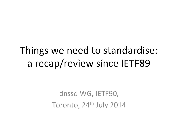## Things we need to standardise: a recap/review since IETF89

dnssd WG, IETF90, Toronto, 24<sup>th</sup> July 2014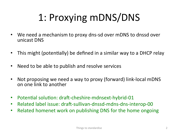## 1: Proxying mDNS/DNS

- We need a mechanism to proxy dns-sd over mDNS to dnssd over unicast DNS
- This might (potentially) be defined in a similar way to a DHCP relay
- Need to be able to publish and resolve services
- Not proposing we need a way to proxy (forward) link-local mDNS on one link to another
- Potential solution: draft-cheshire-mdnsext-hybrid-01
- Related label issue: draft-sullivan-dnssd-mdns-dns-interop-00
- Related homenet work on publishing DNS for the home ongoing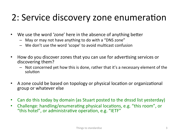## 2: Service discovery zone enumeration

- We use the word 'zone' here in the absence of anything better
	- May or may not have anything to do with a "DNS zone"
	- $-$  We don't use the word 'scope' to avoid multicast confusion
- How do you discover zones that you can use for advertising services or discovering them?
	- Not concerned yet how this is done, rather that it's a necessary element of the solution
- A zone could be based on topology or physical location or organizational group or whatever else
- Can do this today by domain (as Stuart posted to the dnssd list yesterday)
- Challenge: handling/enumerating physical locations, e.g. "this room", or "this hotel", or administrative operation, e.g. "IETF"